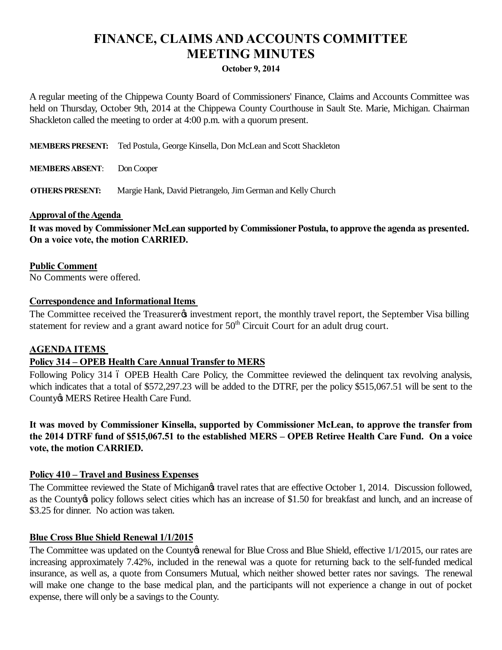# **FINANCE, CLAIMS AND ACCOUNTS COMMITTEE MEETING MINUTES**

#### **October 9, 2014**

A regular meeting of the Chippewa County Board of Commissioners' Finance, Claims and Accounts Committee was held on Thursday, October 9th, 2014 at the Chippewa County Courthouse in Sault Ste. Marie, Michigan. Chairman Shackleton called the meeting to order at 4:00 p.m. with a quorum present.

**MEMBERS PRESENT:** Ted Postula, George Kinsella, Don McLean and Scott Shackleton

**MEMBERS ABSENT**: Don Cooper

**OTHERS PRESENT:** Margie Hank, David Pietrangelo, Jim German and Kelly Church

#### **Approval of the Agenda**

It was moved by Commissioner McLean supported by Commissioner Postula, to approve the agenda as presented. **On a voice vote, the motion CARRIED.**

**Public Comment** No Comments were offered.

#### **Correspondence and Informational Items**

The Committee received the Treasurer investment report, the monthly travel report, the September Visa billing statement for review and a grant award notice for  $50<sup>th</sup>$  Circuit Court for an adult drug court.

## **AGENDA ITEMS**

## **Policy 314 – OPEB Health Care Annual Transfer to MERS**

Following Policy 314 6 OPEB Health Care Policy, the Committee reviewed the delinquent tax revolving analysis, which indicates that a total of \$572,297.23 will be added to the DTRF, per the policy \$515,067.51 will be sent to the County & MERS Retiree Health Care Fund.

**It was moved by Commissioner Kinsella, supported by Commissioner McLean, to approve the transfer from the 2014 DTRF fund of \$515,067.51 to the established MERS – OPEB Retiree Health Care Fund. On a voice vote, the motion CARRIED.**

## **Policy 410 – Travel and Business Expenses**

The Committee reviewed the State of Michigang travel rates that are effective October 1, 2014. Discussion followed, as the County to policy follows select cities which has an increase of \$1.50 for breakfast and lunch, and an increase of \$3.25 for dinner. No action was taken.

## **Blue Cross Blue Shield Renewal 1/1/2015**

The Committee was updated on the County tenewal for Blue Cross and Blue Shield, effective 1/1/2015, our rates are increasing approximately 7.42%, included in the renewal was a quote for returning back to the self-funded medical insurance, as well as, a quote from Consumers Mutual, which neither showed better rates nor savings. The renewal will make one change to the base medical plan, and the participants will not experience a change in out of pocket expense, there will only be a savings to the County.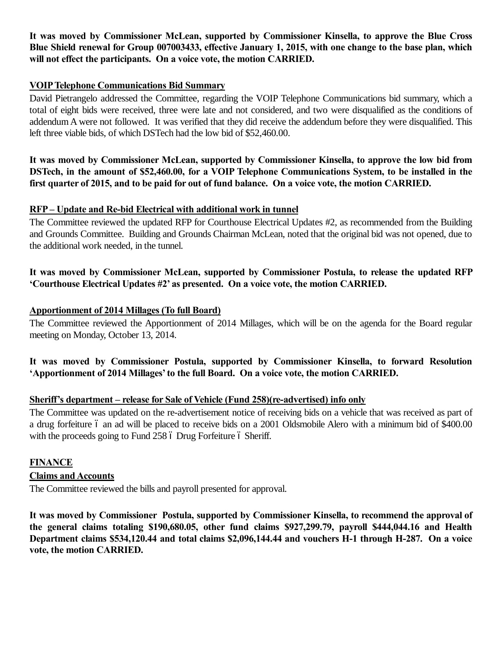**It was moved by Commissioner McLean, supported by Commissioner Kinsella, to approve the Blue Cross Blue Shield renewal for Group 007003433, effective January 1, 2015, with one change to the base plan, which will not effect the participants. On a voice vote, the motion CARRIED.**

#### **VOIP Telephone Communications Bid Summary**

David Pietrangelo addressed the Committee, regarding the VOIP Telephone Communications bid summary, which a total of eight bids were received, three were late and not considered, and two were disqualified as the conditions of addendum A were not followed. It was verified that they did receive the addendum before they were disqualified. This left three viable bids, of which DSTech had the low bid of \$52,460.00.

**It was moved by Commissioner McLean, supported by Commissioner Kinsella, to approve the low bid from DSTech, in the amount of \$52,460.00, for a VOIP Telephone Communications System, to be installed in the first quarter of 2015, and to be paid for out of fund balance. On a voice vote, the motion CARRIED.**

#### **RFP – Update and Re-bid Electrical with additional work in tunnel**

The Committee reviewed the updated RFP for Courthouse Electrical Updates #2, as recommended from the Building and Grounds Committee. Building and Grounds Chairman McLean, noted that the original bid was not opened, due to the additional work needed, in the tunnel.

## **It was moved by Commissioner McLean, supported by Commissioner Postula, to release the updated RFP 'Courthouse Electrical Updates #2' as presented. On a voice vote, the motion CARRIED.**

#### **Apportionment of 2014 Millages (To full Board)**

The Committee reviewed the Apportionment of 2014 Millages, which will be on the agenda for the Board regular meeting on Monday, October 13, 2014.

## **It was moved by Commissioner Postula, supported by Commissioner Kinsella, to forward Resolution 'Apportionment of 2014 Millages' to the full Board. On a voice vote, the motion CARRIED.**

## **Sheriff's department – release for Sale of Vehicle (Fund 258)(re-advertised) info only**

The Committee was updated on the re-advertisement notice of receiving bids on a vehicle that was received as part of a drug forfeiture 6 an ad will be placed to receive bids on a 2001 Oldsmobile Alero with a minimum bid of \$400.00 with the proceeds going to Fund 258 6 Drug Forfeiture 6 Sheriff.

## **FINANCE**

## **Claims and Accounts**

The Committee reviewed the bills and payroll presented for approval.

**It was moved by Commissioner Postula, supported by Commissioner Kinsella, to recommend the approval of the general claims totaling \$190,680.05, other fund claims \$927,299.79, payroll \$444,044.16 and Health Department claims \$534,120.44 and total claims \$2,096,144.44 and vouchers H-1 through H-287. On a voice vote, the motion CARRIED.**